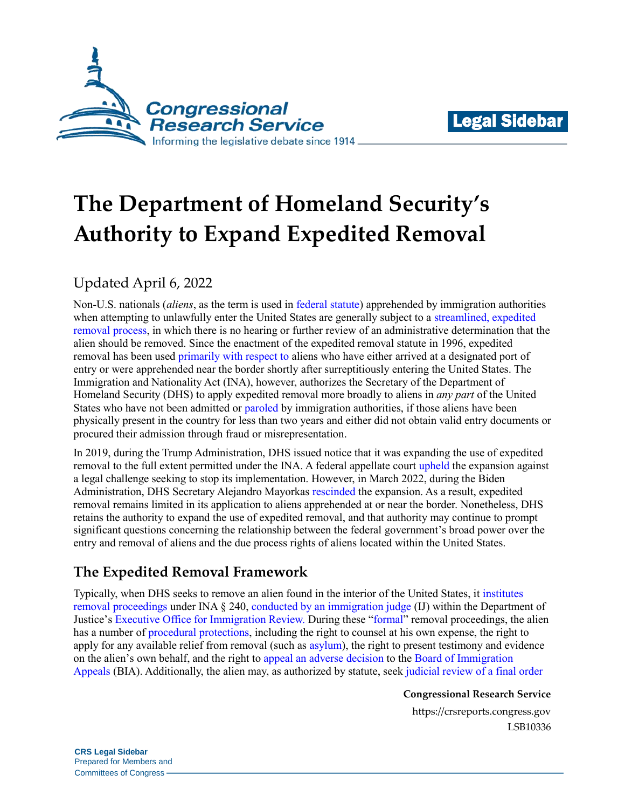



# **The Department of Homeland Security's Authority to Expand Expedited Removal**

# Updated April 6, 2022

Non-U.S. nationals (*aliens*, as the term is used in [federal statute\)](https://uscode.house.gov/view.xhtml?req=(title:8%20section:1101%20edition:prelim)) apprehended by immigration authorities when attempting to unlawfully enter the United States are generally subject to a [streamlined, expedited](https://crsreports.congress.gov/product/pdf/R/R45314)  [removal process,](https://crsreports.congress.gov/product/pdf/R/R45314) in which there is no hearing or further review of an administrative determination that the alien should be removed. Since the enactment of the expedited removal statute in 1996, expedited removal has been used [primarily with respect to](https://crsreports.congress.gov/product/pdf/R/R45314#_Toc525635383) aliens who have either arrived at a designated port of entry or were apprehended near the border shortly after surreptitiously entering the United States. The Immigration and Nationality Act (INA), however, authorizes the Secretary of the Department of Homeland Security (DHS) to apply expedited removal more broadly to aliens in *any part* of the United States who have not been admitted or [paroled](https://www.lexisnexis.com/practiceareas/immigration/pdfs/web543.pdf) by immigration authorities, if those aliens have been physically present in the country for less than two years and either did not obtain valid entry documents or procured their admission through fraud or misrepresentation.

In 2019, during the Trump Administration, DHS issued notice that it was expanding the use of expedited removal to the full extent permitted under the INA. A federal appellate court [upheld](https://www.cadc.uscourts.gov/internet/opinions.nsf/F398C868A41E007D85258590004E10B3/$file/19-5298-1848499.pdf) the expansion against a legal challenge seeking to stop its implementation. However, in March 2022, during the Biden Administration, DHS Secretary Alejandro Mayorkas [rescinded](https://www.federalregister.gov/documents/2022/03/21/2022-05961/rescission-of-the-notice-of-july-23-2019-designating-aliens-for-expedited-removal) the expansion. As a result, expedited removal remains limited in its application to aliens apprehended at or near the border. Nonetheless, DHS retains the authority to expand the use of expedited removal, and that authority may continue to prompt significant questions concerning the relationship between the federal government's broad power over the entry and removal of aliens and the due process rights of aliens located within the United States.

# **The Expedited Removal Framework**

Typically, when DHS seeks to remove an alien found in the interior of the United States, it [institutes](https://www.uscis.gov/ilink/docView/SLB/HTML/SLB/0-0-0-1/0-0-0-29/0-0-0-6084.html)  [removal proceedings](https://www.uscis.gov/ilink/docView/SLB/HTML/SLB/0-0-0-1/0-0-0-29/0-0-0-6084.html) under INA § 240, [conducted by an immigration judge](https://www.uscis.gov/ilink/docView/SLB/HTML/SLB/0-0-0-1/0-0-0-29/0-0-0-6156.html) (IJ) within the Department of Justice'[s Executive Office for Immigration Review.](https://www.justice.gov/eoir/about-office) During these ["formal"](https://crsreports.congress.gov/product/pdf/IF/IF11536) removal proceedings, the alien has a number of [procedural](https://www.uscis.gov/ilink/docView/SLB/HTML/SLB/0-0-0-1/0-0-0-29/0-0-0-6156.html) [protections,](https://www.gpo.gov/fdsys/pkg/USCODE-2011-title8/html/USCODE-2011-title8-chap12-subchapII-partIX-sec1362.htm) including the right to counsel at his own expense, the right to apply for any available relief from removal (such as [asylum\)](https://www.uscis.gov/humanitarian/refugees-asylum), the right to present testimony and evidence on the alien's own behalf, and the right to [appeal an](https://www.gpo.gov/fdsys/pkg/CFR-2008-title8-vol1/pdf/CFR-2008-title8-vol1-sec1003-1.pdf#page=2) [adverse decision](https://www.ecfr.gov/current/title-8/chapter-V/subchapter-A/part-1003/subpart-A/section-1003.3) to the [Board of Immigration](https://www.ecfr.gov/current/title-8/chapter-V/subchapter-A/part-1003/subpart-A/section-1003.1)  [Appeals](https://www.ecfr.gov/current/title-8/chapter-V/subchapter-A/part-1003/subpart-A/section-1003.1) (BIA). Additionally, the alien may, as authorized by statute, see[k judicial review of a final order](https://www.gpo.gov/fdsys/pkg/USCODE-2016-title8/html/USCODE-2016-title8-chap12-subchapII-partV-sec1252.htm) 

**Congressional Research Service**

https://crsreports.congress.gov LSB10336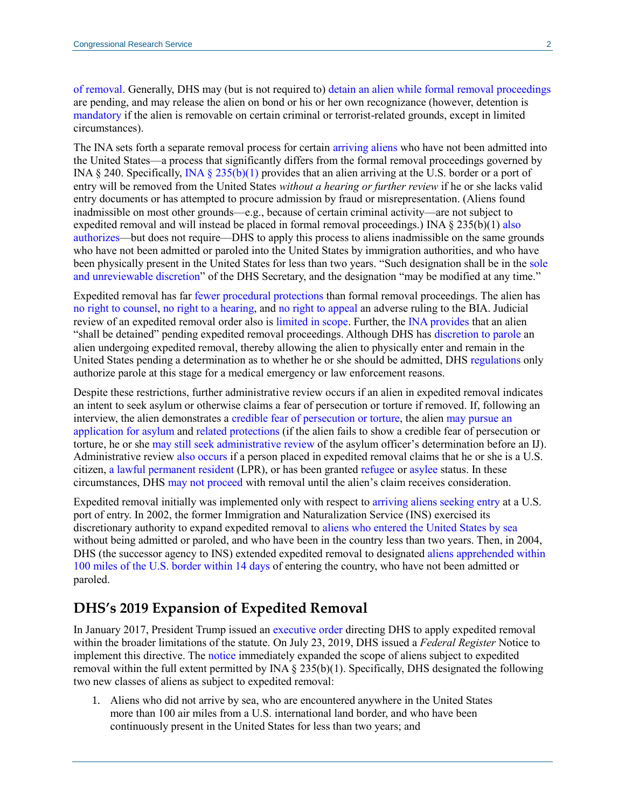[of removal.](https://www.gpo.gov/fdsys/pkg/USCODE-2016-title8/html/USCODE-2016-title8-chap12-subchapII-partV-sec1252.htm) Generally, DHS may (but is not required to) detain an alien while [formal removal proceedings](https://www.uscis.gov/ilink/docView/SLB/HTML/SLB/0-0-0-1/0-0-0-29/0-0-0-5570.html) are pending, and may release the alien on bond or his or her own recognizance (however, detention is [mandatory](https://www.uscis.gov/ilink/docView/SLB/HTML/SLB/0-0-0-1/0-0-0-29/0-0-0-5570.html) if the alien is removable on certain criminal or terrorist-related grounds, except in limited circumstances).

The INA sets forth a separate removal process for certain [arriving aliens](https://www.gpo.gov/fdsys/pkg/USCODE-2010-title8/pdf/USCODE-2010-title8-chap12-subchapII-partIV-sec1225.pdf) who have not been admitted into the United States—a process that significantly differs from the formal removal proceedings governed by INA § 240. Specifically, [INA § 235\(b\)\(1\)](https://www.gpo.gov/fdsys/pkg/USCODE-2010-title8/pdf/USCODE-2010-title8-chap12-subchapII-partIV-sec1225.pdf) provides that an alien arriving at the U.S. border or a port of entry will be removed from the United States *without a hearing or further review* if he or she lacks valid entry documents or has attempted to procure admission by fraud or misrepresentation. (Aliens found inadmissible on most other grounds—e.g., because of certain criminal activity—are not subject to expedited removal and will instead be placed in formal removal proceedings.) INA § 235(b)(1) [also](https://www.gpo.gov/fdsys/pkg/USCODE-2010-title8/pdf/USCODE-2010-title8-chap12-subchapII-partIV-sec1225.pdf#page=2)  [authorizes—](https://www.gpo.gov/fdsys/pkg/USCODE-2010-title8/pdf/USCODE-2010-title8-chap12-subchapII-partIV-sec1225.pdf#page=2)but does not require—DHS to apply this process to aliens inadmissible on the same grounds who have not been admitted or paroled into the United States by immigration authorities, and who have been physically present in the United States for less than two years. "Such designation shall be in the [sole](https://www.gpo.gov/fdsys/pkg/USCODE-2010-title8/pdf/USCODE-2010-title8-chap12-subchapII-partIV-sec1225.pdf#page=2)  [and unreviewable discretion"](https://www.gpo.gov/fdsys/pkg/USCODE-2010-title8/pdf/USCODE-2010-title8-chap12-subchapII-partIV-sec1225.pdf#page=2) of the DHS Secretary, and the designation "may be modified at any time."

Expedited removal has far [fewer procedural protections](http://media.ca1.uscourts.gov/pdf.opinions/09-2673P-01A.pdf#page=6) than formal removal proceedings. The alien has [no right to counsel,](http://cdn.ca9.uscourts.gov/datastore/opinions/2011/08/24/10-50134.pdf#page=18) [no right to a hearing,](https://www.gpo.gov/fdsys/pkg/USCODE-2010-title8/pdf/USCODE-2010-title8-chap12-subchapII-partIV-sec1225.pdf) and [no right to appeal](https://www.gpo.gov/fdsys/pkg/USCODE-2010-title8/pdf/USCODE-2010-title8-chap12-subchapII-partIV-sec1225.pdf#page=2) an adverse ruling to the BIA. Judicial review of an expedited removal order also is [limited in scope.](https://www.gpo.gov/fdsys/pkg/USCODE-2011-title8/pdf/USCODE-2011-title8-chap12-subchapII-partV-sec1252.pdf#page=4) Further, the [INA provides](https://www.gpo.gov/fdsys/pkg/USCODE-2010-title8/pdf/USCODE-2010-title8-chap12-subchapII-partIV-sec1225.pdf#page=2) that an alien "shall be detained" pending expedited removal proceedings. Although DHS has [discretion](https://www.govinfo.gov/content/pkg/USCODE-2016-title8/pdf/USCODE-2016-title8-chap12-subchapII-partII-sec1182.pdf#page=12) [to parole](https://www.gpo.gov/fdsys/pkg/CFR-2011-title8-vol1/xml/CFR-2011-title8-vol1-sec235-3.xml) an alien undergoing expedited removal, thereby allowing the alien to physically enter and remain in the United States pending a determination as to whether he or she should be admitted, DHS [regulations](https://www.ecfr.gov/current/title-8/chapter-I/subchapter-B/part-235/section-235.3) only authorize parole at this stage for a medical emergency or law enforcement reasons.

Despite these restrictions, further administrative review occurs if an alien in expedited removal indicates an intent to seek asylum or otherwise claims a fear of persecution or torture if removed. If, following an interview, the alien demonstrates a [credible fear of persecution](https://www.gpo.gov/fdsys/pkg/USCODE-2010-title8/pdf/USCODE-2010-title8-chap12-subchapII-partIV-sec1225.pdf#page=2) [or torture,](https://www.ecfr.gov/current/title-8/chapter-I/subchapter-B/part-235/section-235.3) the alien [may pursue an](https://www.gpo.gov/fdsys/pkg/USCODE-2010-title8/pdf/USCODE-2010-title8-chap12-subchapII-partIV-sec1225.pdf#page=2)  [application for asylum](https://www.gpo.gov/fdsys/pkg/USCODE-2010-title8/pdf/USCODE-2010-title8-chap12-subchapII-partIV-sec1225.pdf#page=2) and [related](https://www.gpo.gov/fdsys/pkg/USCODE-2016-title8/pdf/USCODE-2016-title8-chap12-subchapII-partIV-sec1231.pdf#page=4) [protections](https://www.gpo.gov/fdsys/pkg/CFR-2002-title8-vol1/pdf/CFR-2002-title8-vol1-sec208-16.pdf#page=2) (if the alien fails to show a credible fear of persecution or torture, he or she [may still seek](https://www.gpo.gov/fdsys/pkg/USCODE-2010-title8/pdf/USCODE-2010-title8-chap12-subchapII-partIV-sec1225.pdf#page=2) [administrative review](https://www.gpo.gov/fdsys/pkg/CFR-2018-title8-vol1/pdf/CFR-2018-title8-vol1-sec208-30.pdf#page=4) of the asylum officer's determination before an IJ). Administrative review [also occurs](https://www.gpo.gov/fdsys/pkg/USCODE-2010-title8/pdf/USCODE-2010-title8-chap12-subchapII-partIV-sec1225.pdf#page=2) if a person placed in expedited removal claims that he or she is a U.S. citizen, [a lawful permanent resident](https://www.dhs.gov/immigration-statistics/lawful-permanent-residents) (LPR), or has been grante[d refugee](https://www.uscis.gov/humanitarian/refugees-asylum/refugees) or [asylee](https://www.uscis.gov/humanitarian/refugees-asylum/asylum) status. In these circumstances, DHS [may not proceed](https://www.gpo.gov/fdsys/pkg/CFR-2011-title8-vol1/pdf/CFR-2011-title8-vol1-sec235-3.pdf#page=3) with removal until the alien's claim receives consideration.

Expedited removal initially was implemented only with respect to [arriving aliens seeking entry](https://www.govinfo.gov/content/pkg/FR-1997-03-06/html/97-5250.htm) at a U.S. port of entry. In 2002, the former Immigration and Naturalization Service (INS) exercised its discretionary authority to expand expedited removal to [aliens who entered the United States by sea](https://www.federalregister.gov/documents/2002/11/13/02-29038/notice-designating-aliens-subject-to-expedited-removal-under-section-235b1aiii-of-the-immigration) without being admitted or paroled, and who have been in the country less than two years. Then, in 2004, DHS (the successor agency to INS) extended expedited removal to designate[d aliens apprehended within](https://www.federalregister.gov/documents/2004/08/11/04-18469/designating-aliens-for-expedited-removal)  [100 miles of the U.S. border within 14 days](https://www.federalregister.gov/documents/2004/08/11/04-18469/designating-aliens-for-expedited-removal) of entering the country, who have not been admitted or paroled.

# **DHS's 2019 Expansion of Expedited Removal**

In January 2017, President Trump issued an [executive order](https://www.whitehouse.gov/presidential-actions/executive-order-border-security-immigration-enforcement-improvements/) directing DHS to apply expedited removal within the broader limitations of the statute. On July 23, 2019, DHS issued a *Federal Register* Notice to implement this directive. The [notice](https://www.federalregister.gov/documents/2019/07/23/2019-15710/designating-aliens-for-expedited-removal) immediately expanded the scope of aliens subject to expedited removal within the full extent permitted by INA  $\S$  235(b)(1). Specifically, DHS designated the following two new classes of aliens as subject to expedited removal:

1. Aliens who did not arrive by sea, who are encountered anywhere in the United States more than 100 air miles from a U.S. international land border, and who have been continuously present in the United States for less than two years; and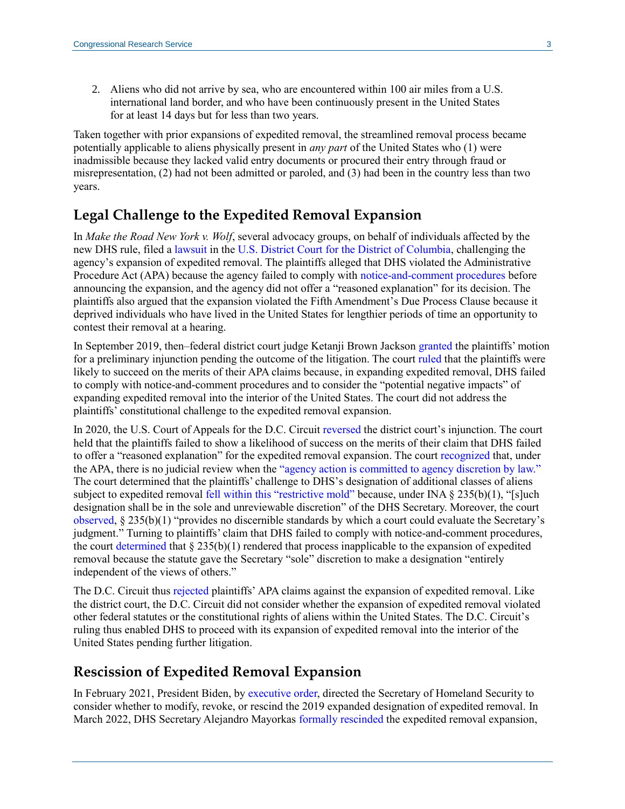2. Aliens who did not arrive by sea, who are encountered within 100 air miles from a U.S. international land border, and who have been continuously present in the United States for at least 14 days but for less than two years.

Taken together with prior expansions of expedited removal, the streamlined removal process became potentially applicable to aliens physically present in *any part* of the United States who (1) were inadmissible because they lacked valid entry documents or procured their entry through fraud or misrepresentation, (2) had not been admitted or paroled, and (3) had been in the country less than two years.

#### **Legal Challenge to the Expedited Removal Expansion**

In *Make the Road New York v. Wolf*, several advocacy groups, on behalf of individuals affected by the new DHS rule, filed a [lawsuit](http://americanimmigrationcouncil.org/sites/default/files/litigation_documents/challenging_the_expansion_of_expedited_removal_complaint.pdf) in the [U.S. District Court for the District of Columbia,](https://crsreports.congress.gov/product/pdf/R/R45314#_Toc21504987) challenging the agency's expansion of expedited removal. The plaintiffs alleged that DHS violated the Administrative Procedure Act (APA) because the agency failed to comply with [notice-and-comment procedures](https://uscode.house.gov/view.xhtml?req=granuleid:USC-prelim-title5-section553&num=0&edition=prelim) before announcing the expansion, and the agency did not offer a "reasoned explanation" for its decision. The plaintiffs also argued that the expansion violated the Fifth Amendment's Due Process Clause because it deprived individuals who have lived in the United States for lengthier periods of time an opportunity to contest their removal at a hearing.

In September 2019, then–federal district court judge Ketanji Brown Jackson [granted](https://www.aclu.org/sites/default/files/field_document/2019-09-27_memorandum_opinion.pdf) the plaintiffs' motion for a preliminary injunction pending the outcome of the litigation. The court [ruled](https://www.aclu.org/sites/default/files/field_document/2019-09-27_memorandum_opinion.pdf#page=67) that the plaintiffs were likely to succeed on the merits of their APA claims because, in expanding expedited removal, DHS failed to comply with notice-and-comment procedures and to consider the "potential negative impacts" of expanding expedited removal into the interior of the United States. The court did not address the plaintiffs' constitutional challenge to the expedited removal expansion.

In 2020, the U.S. Court of Appeals for the D.C. Circuit [reversed](https://www.cadc.uscourts.gov/internet/opinions.nsf/F398C868A41E007D85258590004E10B3/$file/19-5298-1848499.pdf#page=5) the district court's injunction. The court held that the plaintiffs failed to show a likelihood of success on the merits of their claim that DHS failed to offer a "reasoned explanation" for the expedited removal expansion. The cour[t recognized](https://www.cadc.uscourts.gov/internet/opinions.nsf/F398C868A41E007D85258590004E10B3/$file/19-5298-1848499.pdf#page=31) that, under the APA, there is no judicial review when the ["agency action is committed to agency discretion by law."](https://uscode.house.gov/view.xhtml?req=(title:5%20section:701%20edition:prelim)) The court determined that the plaintiffs' challenge to DHS's designation of additional classes of aliens subject to expedited removal [fell within this "restrictive mold"](https://www.cadc.uscourts.gov/internet/opinions.nsf/F398C868A41E007D85258590004E10B3/$file/19-5298-1848499.pdf#page=32) because, under INA § 235(b)(1), "[s]uch designation shall be in the sole and unreviewable discretion" of the DHS Secretary. Moreover, the court [observed,](https://www.cadc.uscourts.gov/internet/opinions.nsf/F398C868A41E007D85258590004E10B3/$file/19-5298-1848499.pdf#page=33) § 235(b)(1) "provides no discernible standards by which a court could evaluate the Secretary's judgment." Turning to plaintiffs' claim that DHS failed to comply with notice-and-comment procedures, the court [determined](https://www.cadc.uscourts.gov/internet/opinions.nsf/F398C868A41E007D85258590004E10B3/$file/19-5298-1848499.pdf#page=37) that  $\S 235(b)(1)$  rendered that process inapplicable to the expansion of expedited removal because the statute gave the Secretary "sole" discretion to make a designation "entirely independent of the views of others."

The D.C. Circuit thus [rejected](https://www.cadc.uscourts.gov/internet/opinions.nsf/F398C868A41E007D85258590004E10B3/$file/19-5298-1848499.pdf#page=39) plaintiffs' APA claims against the expansion of expedited removal. Like the district court, the D.C. Circuit did not consider whether the expansion of expedited removal violated other federal statutes or the constitutional rights of aliens within the United States. The D.C. Circuit's ruling thus enabled DHS to proceed with its expansion of expedited removal into the interior of the United States pending further litigation.

#### **Rescission of Expedited Removal Expansion**

In February 2021, President Biden, by [executive order,](https://www.whitehouse.gov/briefing-room/presidential-actions/2021/02/02/executive-order-creating-a-comprehensive-regional-framework-to-address-the-causes-of-migration-to-manage-migration-throughout-north-and-central-america-and-to-provide-safe-and-orderly-processing/) directed the Secretary of Homeland Security to consider whether to modify, revoke, or rescind the 2019 expanded designation of expedited removal. In March 2022, DHS Secretary Alejandro Mayorkas [formally rescinded](https://www.federalregister.gov/documents/2022/03/21/2022-05961/rescission-of-the-notice-of-july-23-2019-designating-aliens-for-expedited-removal) the expedited removal expansion,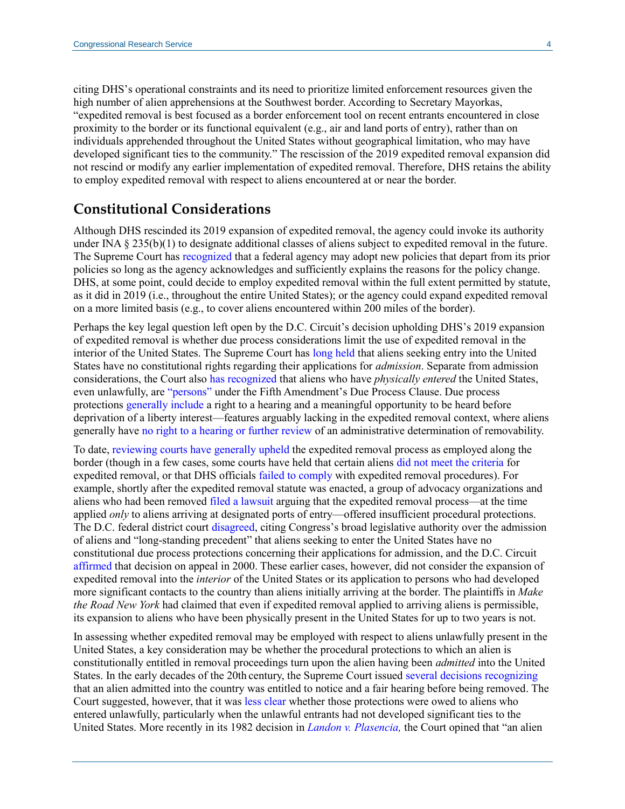citing DHS's operational constraints and its need to prioritize limited enforcement resources given the high number of alien apprehensions at the Southwest border. According to Secretary Mayorkas, "expedited removal is best focused as a border enforcement tool on recent entrants encountered in close proximity to the border or its functional equivalent (e.g., air and land ports of entry), rather than on individuals apprehended throughout the United States without geographical limitation, who may have developed significant ties to the community." The rescission of the 2019 expedited removal expansion did not rescind or modify any earlier implementation of expedited removal. Therefore, DHS retains the ability to employ expedited removal with respect to aliens encountered at or near the border.

# **Constitutional Considerations**

Although DHS rescinded its 2019 expansion of expedited removal, the agency could invoke its authority under INA § 235(b)(1) to designate additional classes of aliens subject to expedited removal in the future. The Supreme Court has [recognized](https://www.supremecourt.gov/opinions/08pdf/07-582.pdf#page=13) that a federal agency may adopt new policies that depart from its prior policies so long as the agency acknowledges and sufficiently explains the reasons for the policy change. DHS, at some point, could decide to employ expedited removal within the full extent permitted by statute, as it did in 2019 (i.e., throughout the entire United States); or the agency could expand expedited removal on a more limited basis (e.g., to cover aliens encountered within 200 miles of the border).

Perhaps the key legal question left open by the D.C. Circuit's decision upholding DHS's 2019 expansion of expedited removal is whether due process considerations limit the use of expedited removal in the interior of the United States. The Supreme Court has [long held](https://supreme.justia.com/cases/federal/us/459/21/) that aliens seeking entry into the United States have no constitutional rights regarding their applications for *admission*. Separate from admission considerations, the Court also [has recognized](https://supreme.justia.com/cases/federal/us/533/678/) that aliens who have *physically entered* the United States, even unlawfully, are ["persons" u](https://tile.loc.gov/storage-services/service/ll/usrep/usrep457/usrep457202/usrep457202.pdf#page=9)nder the Fifth Amendment's Due Process Clause. Due process protections [generally](https://tile.loc.gov/storage-services/service/ll/usrep/usrep424/usrep424319/usrep424319.pdf#page=15) include a right to a hearing and a meaningful opportunity to be heard before deprivation of a liberty interest—features arguably lacking in the expedited removal context, where aliens generally have [no right to a hearing or further review](https://www.gpo.gov/fdsys/pkg/USCODE-2010-title8/pdf/USCODE-2010-title8-chap12-subchapII-partIV-sec1225.pdf) of an administrative determination of removability.

To date, [reviewing](https://www.leagle.com/decision/321180406fsupp3d72958) [courts](https://caselaw.findlaw.com/us-7th-circuit/1527186.html) [have](https://www.clearinghouse.net/chDocs/public/IM-PA-0012-0003.pdf#page=73) [generally](http://cdn.ca9.uscourts.gov/datastore/opinions/2014/01/09/11-35556.pdf#page=8) [upheld](https://www.leagle.com/decision/inadvfdco151008000686) the expedited removal process as employed along the border (though in a few cases, some courts have held that certain aliens [did not meet the criteria](https://law.justia.com/cases/federal/district-courts/FSupp2/272/650/2296179/) for expedited removal, or that DHS officials [failed to comply](http://cdn.ca9.uscourts.gov/datastore/opinions/2014/11/10/13-50129.pdf) with expedited removal procedures). For example, shortly after the expedited removal statute was enacted, a group of advocacy organizations and aliens who had been removed [filed a lawsuit](https://www.clearinghouse.net/chDocs/public/IM-DC-0002-0010.pdf) arguing that the expedited removal process—at the time applied *only* to aliens arriving at designated ports of entry—offered insufficient procedural protections. The D.C. federal district court [disagreed,](https://www.clearinghouse.net/chDocs/public/IM-DC-0002-0010.pdf) citing Congress's broad legislative authority over the admission of aliens and "long-standing precedent" that aliens seeking to enter the United States have no constitutional due process protections concerning their applications for admission, and the D.C. Circuit [affirmed](https://caselaw.findlaw.com/us-dc-circuit/1439124.html) that decision on appeal in 2000. These earlier cases, however, did not consider the expansion of expedited removal into the *interior* of the United States or its application to persons who had developed more significant contacts to the country than aliens initially arriving at the border. The plaintiffs in *Make the Road New York* had claimed that even if expedited removal applied to arriving aliens is permissible, its expansion to aliens who have been physically present in the United States for up to two years is not.

In assessing whether expedited removal may be employed with respect to aliens unlawfully present in the United States, a key consideration may be whether the procedural protections to which an alien is constitutionally entitled in removal proceedings turn upon the alien having been *admitted* into the United States. In the early decades of the 20th century, the Supreme Court issued [several](https://supreme.justia.com/cases/federal/us/225/460/) [decisions](https://caselaw.findlaw.com/us-supreme-court/264/131.html) [recognizing](https://cdn.loc.gov/service/ll/usrep/usrep189/usrep189086/usrep189086.pdf) that an alien admitted into the country was entitled to notice and a fair hearing before being removed. The Court suggested, however, that it was [less clear](https://cdn.loc.gov/service/ll/usrep/usrep189/usrep189086/usrep189086.pdf#page=15) whether those protections were owed to aliens who entered unlawfully, particularly when the unlawful entrants had not developed significant ties to the United States. More recently in its 1982 decision in *[Landon v. Plasencia,](https://scholar.google.com/scholar_case?case=5918376679014688763&hl=en&as_sdt=6&as_vis=1&oi=scholarr)* the Court opined that "an alien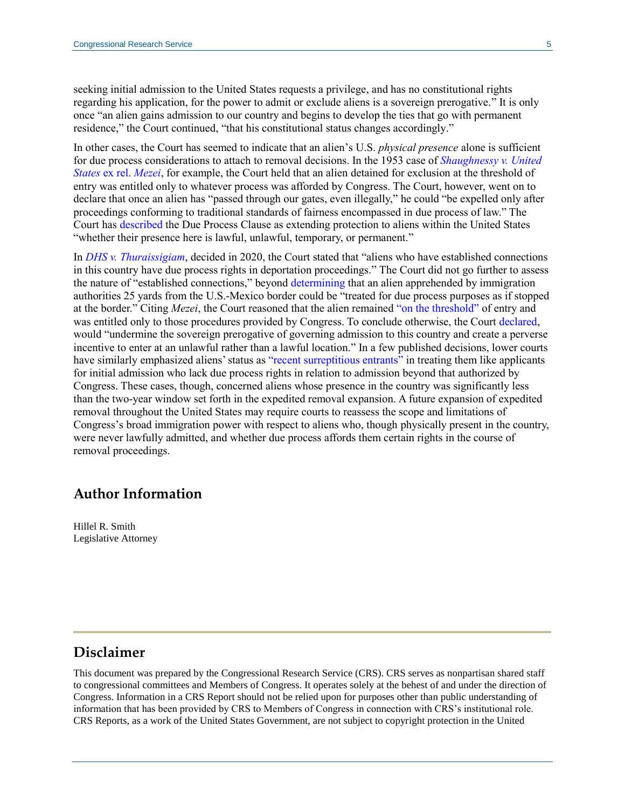seeking initial admission to the United States requests a privilege, and has no constitutional rights regarding his application, for the power to admit or exclude aliens is a sovereign prerogative." It is only once "an alien gains admission to our country and begins to develop the ties that go with permanent residence," the Court continued, "that his constitutional status changes accordingly."

In other cases, the Court has seemed to indicate that an alien's U.S. *physical presence* alone is sufficient for due process considerations to attach to removal decisions. In the 1953 case of *[Shaughnessy v. United](https://scholar.google.com/scholar_case?case=16227970669733492793&hl=en&as_sdt=20006&as_vis=1)  States* [ex rel.](https://scholar.google.com/scholar_case?case=16227970669733492793&hl=en&as_sdt=20006&as_vis=1) *Mezei*, for example, the Court held that an alien detained for exclusion at the threshold of entry was entitled only to whatever process was afforded by Congress. The Court, however, went on to declare that once an alien has "passed through our gates, even illegally," he could "be expelled only after proceedings conforming to traditional standards of fairness encompassed in due process of law." The Court has [described](https://supreme.justia.com/cases/federal/us/533/678/) the Due Process Clause as extending protection to aliens within the United States "whether their presence here is lawful, unlawful, temporary, or permanent."

In *[DHS v. Thuraissigiam](https://www.supremecourt.gov/opinions/19pdf/19-161_g314.pdf#page=5)*, decided in 2020, the Court stated that "aliens who have established connections in this country have due process rights in deportation proceedings." The Court did not go further to assess the nature of "established connections," beyond [determining](https://www.supremecourt.gov/opinions/19pdf/19-161_g314.pdf#page=38) that an alien apprehended by immigration authorities 25 yards from the U.S.-Mexico border could be "treated for due process purposes as if stopped at the border." Citing *Mezei*, the Court reasoned that the alien remained ["on the threshold"](https://www.supremecourt.gov/opinions/19pdf/19-161_g314.pdf#page=39) of entry and was entitled only to those procedures provided by Congress. To conclude otherwise, the Court [declared,](https://www.supremecourt.gov/opinions/19pdf/19-161_g314.pdf#page=39) would "undermine the sovereign prerogative of governing admission to this country and create a perverse incentive to enter at an unlawful rather than a lawful location." In a few published decisions, lower courts have similarly emphasized aliens' status as ["recent surreptitious entrants"](http://www2.ca3.uscourts.gov/opinarch/161339p.pdf#page=76) in treating them like applicants for initial admission who lack due process rights in relation to admission beyond that authorized by Congress. These cases, though, concerned aliens whose presence in the country was significantly less than the two-year window set forth in the expedited removal expansion. A future expansion of expedited removal throughout the United States may require courts to reassess the scope and limitations of Congress's broad immigration power with respect to aliens who, though physically present in the country, were never lawfully admitted, and whether due process affords them certain rights in the course of removal proceedings.

## **Author Information**

Hillel R. Smith Legislative Attorney

### **Disclaimer**

This document was prepared by the Congressional Research Service (CRS). CRS serves as nonpartisan shared staff to congressional committees and Members of Congress. It operates solely at the behest of and under the direction of Congress. Information in a CRS Report should not be relied upon for purposes other than public understanding of information that has been provided by CRS to Members of Congress in connection with CRS's institutional role. CRS Reports, as a work of the United States Government, are not subject to copyright protection in the United